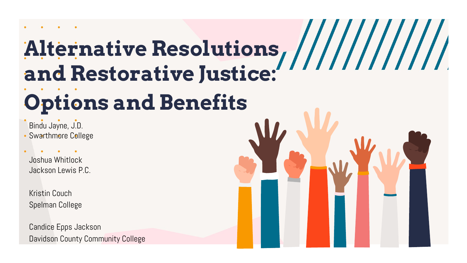# **Alternative Resolutions and Restorative Justice:**

# **Options and Benefits**

Bindu Jayne, J.D. Swarthmore College

Joshua Whitlock Jackson Lewis P.C.

Kristin Couch Spelman College

Candice Epps Jackson Davidson County Community College

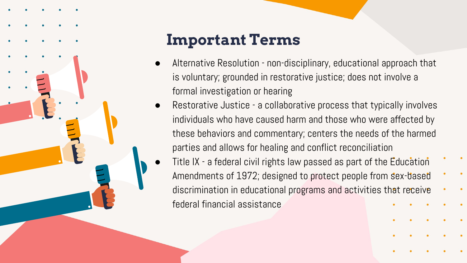

## **Important Terms**

- Alternative Resolution non-disciplinary, educational approach that is voluntary; grounded in restorative justice; does not involve a formal investigation or hearing
- Restorative Justice a collaborative process that typically involves individuals who have caused harm and those who were affected by these behaviors and commentary; centers the needs of the harmed parties and allows for healing and conflict reconciliation
- Title IX a federal civil rights law passed as part of the Education Amendments of 1972; designed to protect people from sex-based discrimination in educational programs and activities that receive federal financial assistance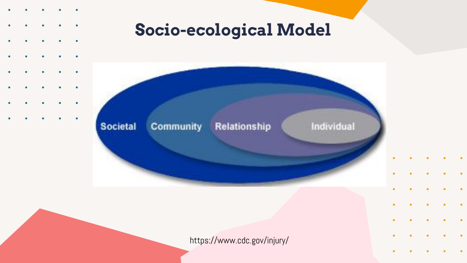- 
- 
- 
- 
- 
- $\bullet$
- $\bullet$
- 

# **Socio-ecological Model**



### https://www.cdc.gov/injury/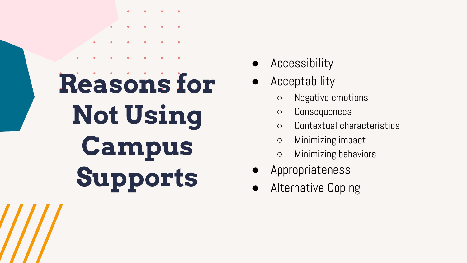# **Reasons for Not Using Campus Supports**

- Accessibility
- Acceptability
	- Negative emotions
	- Consequences
	- Contextual characteristics
	- Minimizing impact
	- Minimizing behaviors
- Appropriateness
- **Alternative Coping**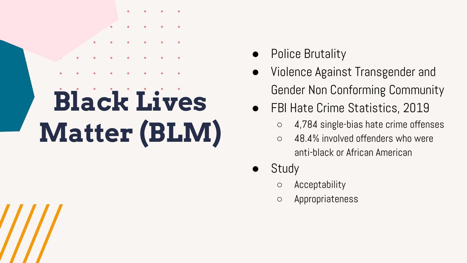# **Black Lives Matter (BLM)**

- Police Brutality
- Violence Against Transgender and Gender Non Conforming Community
- **FBI Hate Crime Statistics, 2019** 
	- 4,784 single-bias hate crime offenses
	- 48.4% involved offenders who were anti-black or African American
- Study
	- Acceptability
	- Appropriateness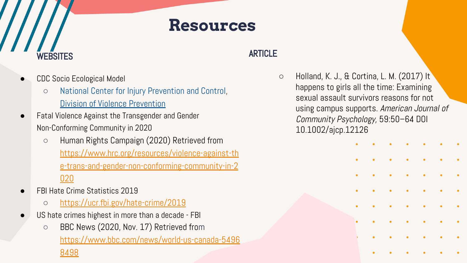### **Resources**

### **ARTICLE**

○ Holland, K. J., & Cortina, L. M. (2017) It happens to girls all the time: Examining sexual assault survivors reasons for not using campus supports. American Journal of Community Psychology, 59:50–64 DOI 10.1002/ajcp.12126



### CDC Socio Ecological Model

WEBSITES

- [National Center for Injury Prevention and Control](https://www.cdc.gov/injury/), [Division of Violence Prevention](https://www.cdc.gov/violencePrevention/index.html)
- Fatal Violence Against the Transgender and Gender Non-Conforming Community in 2020
	- Human Rights Campaign (2020) Retrieved from [https://www.hrc.org/resources/violence-against-th](https://www.hrc.org/resources/violence-against-the-trans-and-gender-non-conforming-community-in-2020) [e-trans-and-gender-non-conforming-community-in-2](https://www.hrc.org/resources/violence-against-the-trans-and-gender-non-conforming-community-in-2020) [020](https://www.hrc.org/resources/violence-against-the-trans-and-gender-non-conforming-community-in-2020)
- FBI Hate Crime Statistics 2019
	- <https://ucr.fbi.gov/hate-crime/2019>
- US hate crimes highest in more than a decade FBI
	- **○** BBC News (2020, Nov. 17) Retrieved from [https://www.bbc.com/news/world-us-canada-5496](https://www.bbc.com/news/world-us-canada-54968498) [8498](https://www.bbc.com/news/world-us-canada-54968498)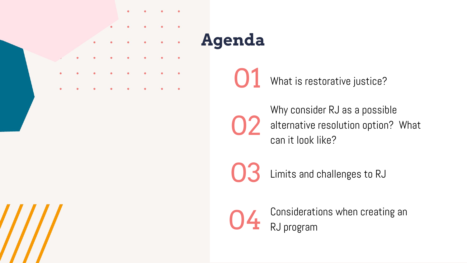

# **Agenda**

01 What is restorative justice?

02 Why consider RJ as a possible alternative resolution option? What can it look like?

03

Limits and challenges to RJ



Considerations when creating an RJ program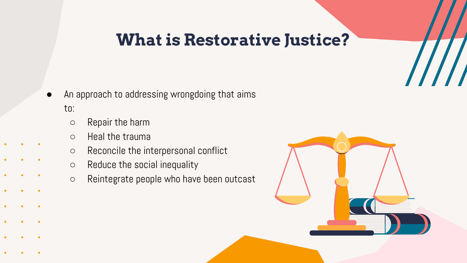### **What is Restorative Justice?**

- An approach to addressing wrongdoing that aims to:
	- Repair the harm
	- Heal the trauma
	- Reconcile the interpersonal conflict
	- Reduce the social inequality
	- Reintegrate people who have been outcast

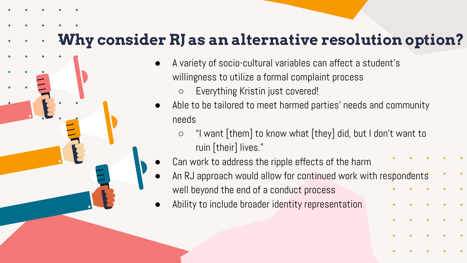### **Why consider RJ as an alternative resolution option?**

- A variety of socio-cultural variables can affect a student's willingness to utilize a formal complaint process
	- Everything Kristin just covered!
- Able to be tailored to meet harmed parties' needs and community needs
	- "I want [them] to know what [they] did, but I don't want to ruin [their] lives."
- Can work to address the ripple effects of the harm
- An RJ approach would allow for continued work with respondents well beyond the end of a conduct process
- Ability to include broader identity representation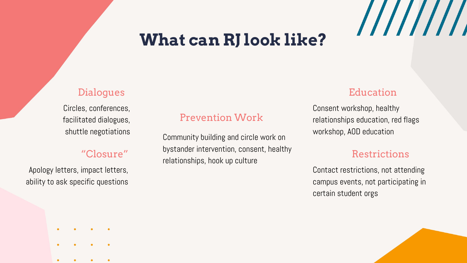## **What can RJ look like?**

### **Dialogues**

Circles, conferences, facilitated dialogues, shuttle negotiations

### "Closure"

Apology letters, impact letters, ability to ask specific questions

### Prevention Work

Community building and circle work on bystander intervention, consent, healthy relationships, hook up culture

### Education

////////

Consent workshop, healthy relationships education, red flags workshop, AOD education

### Restrictions

Contact restrictions, not attending campus events, not participating in certain student orgs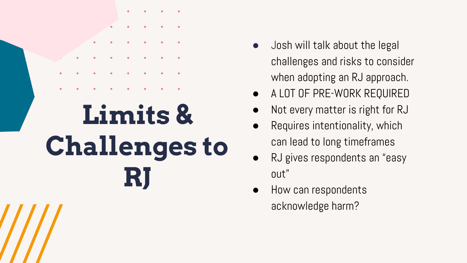

- Josh will talk about the legal challenges and risks to consider when adopting an RJ approach.
- A LOT OF PRE-WORK REQUIRED
- Not every matter is right for RJ
- Requires intentionality, which can lead to long timeframes
- RJ gives respondents an "easy out"
- How can respondents acknowledge harm?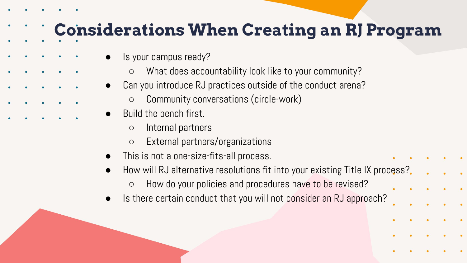## **Considerations When Creating an RJ Program**

- Is your campus ready?
	- What does accountability look like to your community?
- Can you introduce RJ practices outside of the conduct arena?
	- Community conversations (circle-work)
- Build the bench first.
	- Internal partners
	- External partners/organizations
- This is not a one-size-fits-all process.
- How will RJ alternative resolutions fit into your existing Title IX process?
	- How do your policies and procedures have to be revised?
- Is there certain conduct that you will not consider an RJ approach?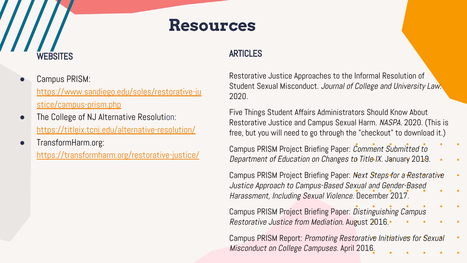### **Resources**

### WEBSITES

- Campus PRISM: [https://www.sandiego.edu/soles/restorative-ju](https://www.sandiego.edu/soles/restorative-justice/campus-prism.php) [stice/campus-prism.php](https://www.sandiego.edu/soles/restorative-justice/campus-prism.php)
- The College of NJ Alternative Resolution: <https://titleix.tcnj.edu/alternative-resolution/>
- TransformHarm.org:

<https://transformharm.org/restorative-justice/>

### ARTICLES

[Restorative Justice Approaches to the Informal Resolution of](https://jcul.law.rutgers.edu/volume-45-2/)  Student Sexual Misconduct. [Journal of College and University Law.](https://jcul.law.rutgers.edu/volume-45-2/) [2020.](https://jcul.law.rutgers.edu/volume-45-2/)

[Five Things Student Affairs Administrators Should Know About](https://www.naspa.org/report/five-things-student-affairs-administrators-should-know-about-restorative-justice-and-campus-sexual-harm1)  [Restorative Justice and Campus Sexual Harm.](https://www.naspa.org/report/five-things-student-affairs-administrators-should-know-about-restorative-justice-and-campus-sexual-harm1) NASPA. 2020. (This is free, but you will need to go through the "checkout" to download it.)

[Campus PRISM Project Briefing Paper:](https://www.sandiego.edu/soles/documents/center-restorative-justice/Comment-Title-IX-Changes-20192.pdf) Comment Submitted to [Department of Education on Changes to Title IX.](https://www.sandiego.edu/soles/documents/center-restorative-justice/Comment-Title-IX-Changes-20192.pdf) January 2019.

[Campus PRISM Project Briefing Paper:](https://www.sandiego.edu/soles/documents/center-restorative-justice/Next-Steps-for-RJ-Campus-PRISM.pdf) Next Steps for a Restorative [Justice Approach to Campus-Based Sexual and Gender-Based](https://www.sandiego.edu/soles/documents/center-restorative-justice/Next-Steps-for-RJ-Campus-PRISM.pdf)  [Harassment, Including Sexual Violence.](https://www.sandiego.edu/soles/documents/center-restorative-justice/Next-Steps-for-RJ-Campus-PRISM.pdf) December 2017.

[Campus PRISM Project Briefing Paper:](https://www.sandiego.edu/soles/documents/center-restorative-justice/RJ-vs-Mediation-Brief4.pdf) Distinguishing Campus [Restorative Justice from Mediation.](https://www.sandiego.edu/soles/documents/center-restorative-justice/RJ-vs-Mediation-Brief4.pdf) August 2016.

Campus PRISM Report: Promoting Restorative Initiatives for Sexual [Misconduct on College Campuses.](https://www.sandiego.edu/soles/documents/center-restorative-justice/Campus_PRISM__Report_2016.pdf) April 2016.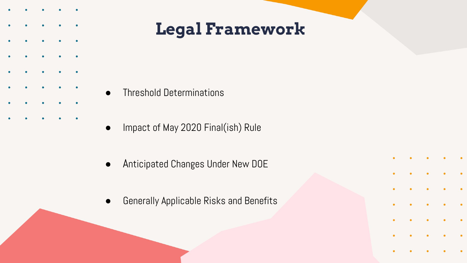- 
- 
- 
- 
- 

**Legal Framework**

- Threshold Determinations
- Impact of May 2020 Final(ish) Rule
- Anticipated Changes Under New DOE
- Generally Applicable Risks and Benefits

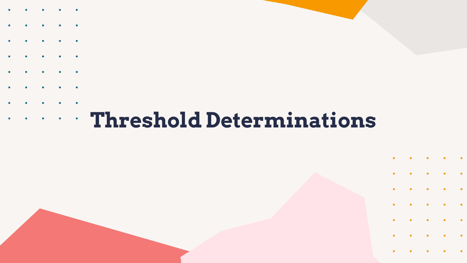- 
- 
- 
- 
- 
- 
- 
- 

# **Threshold Determinations**

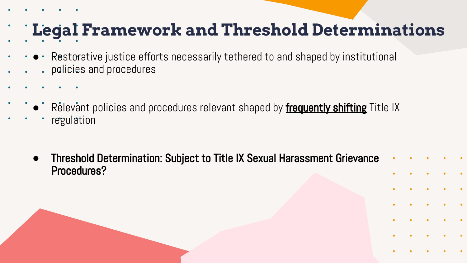# **Legal Framework and Threshold Determinations**

- Restorative justice efforts necessarily tethered to and shaped by institutional policies and procedures
	- Relevant policies and procedures relevant shaped by **frequently shifting** Title IX
	- regulation
		- **●** Threshold Determination: Subject to Title IX Sexual Harassment Grievance Procedures?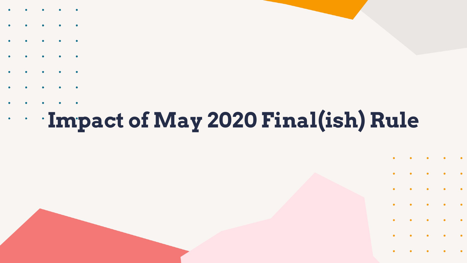- 
- 
- 
- 
- 
- 
- 
- 

### **Impact of May 2020 Final(ish) Rule**  $\bullet$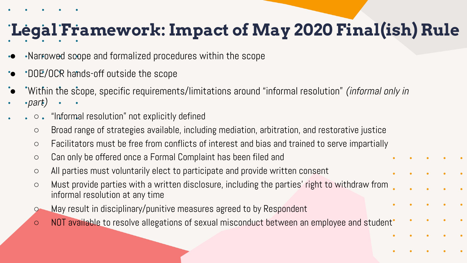# **Legal Framework: Impact of May 2020 Final(ish) Rule**

- Narrowed scope and formalized procedures within the scope
- DOE/OCR hands-off outside the scope
- Within the scope, specific requirements/limitations around "informal resolution" *(informal only in*)
- $\cdot$ part)
	- $\bullet$   $\circ$   $\bullet$  "Informal resolution" not explicitly defined
		- Broad range of strategies available, including mediation, arbitration, and restorative justice
		- Facilitators must be free from conflicts of interest and bias and trained to serve impartially
		- Can only be offered once a Formal Complaint has been filed and
		- All parties must voluntarily elect to participate and provide written consent
		- Must provide parties with a written disclosure, including the parties' right to withdraw from informal resolution at any time
		- May result in disciplinary/punitive measures agreed to by Respondent
		- NOT available to resolve allegations of sexual misconduct between an employee and student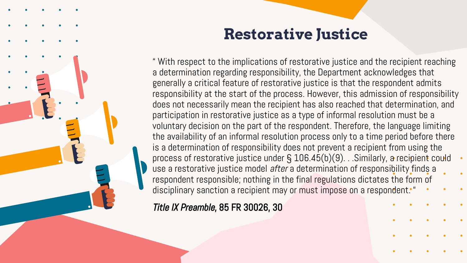

### **Restorative Justice**

" With respect to the implications of restorative justice and the recipient reaching a determination regarding responsibility, the Department acknowledges that generally a critical feature of restorative justice is that the respondent admits responsibility at the start of the process. However, this admission of responsibility does not necessarily mean the recipient has also reached that determination, and participation in restorative justice as a type of informal resolution must be a voluntary decision on the part of the respondent. Therefore, the language limiting the availability of an informal resolution process only to a time period before there is a determination of responsibility does not prevent a recipient from using the process of restorative justice under § 106.45(b)(9). . .Similarly, a recipient could use a restorative justice model after a determination of responsibility finds a respondent responsible; nothing in the final regulations dictates the form of disciplinary sanction a recipient may or must impose on a respondent. "

Title IX Preamble, 85 FR 30026, 30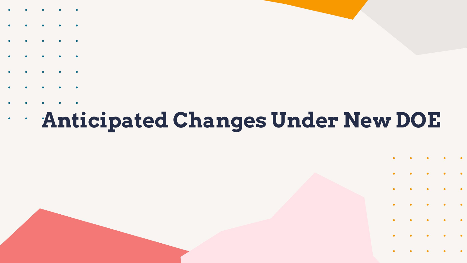- 
- 
- 
- 
- 
- 
- 
- 

### **Anticipated Changes Under New DOE**  $\bullet$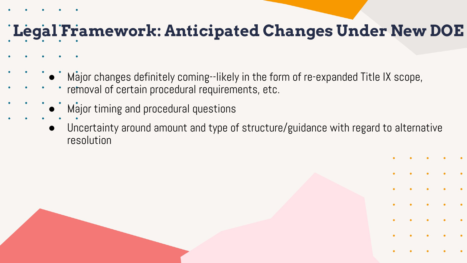### **Legal Framework: Anticipated Changes Under New DOE**

- $\degree$  Major changes definitely coming--likely in the form of re-expanded Title IX scope,
- removal of certain procedural requirements, etc.
- $\dot{\phantom{\{a}$  Major timing and procedural questions
- Uncertainty around amount and type of structure/guidance with regard to alternative resolution

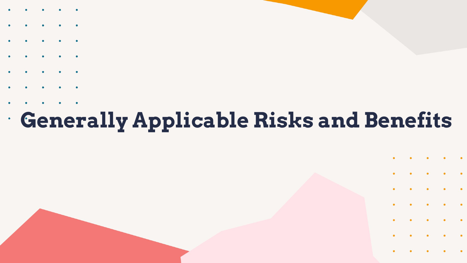- 
- 
- 
- 
- 
- 
- 
- 

# **Generally Applicable Risks and Benefits**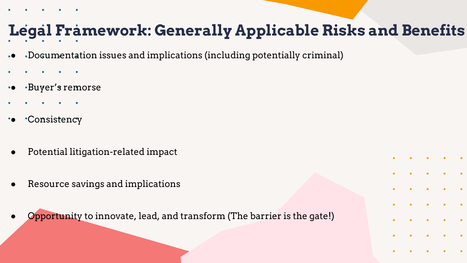# **Legal Framework: Generally Applicable Risks and Benefits**

- Documentation issues and implications (including potentially criminal)
- 
- Buyer's remorse
- 
- Consistency
- Potential litigation-related impact
- Resource savings and implications
- **Opportunity to innovate, lead, and transform (The barrier is the gate!)**